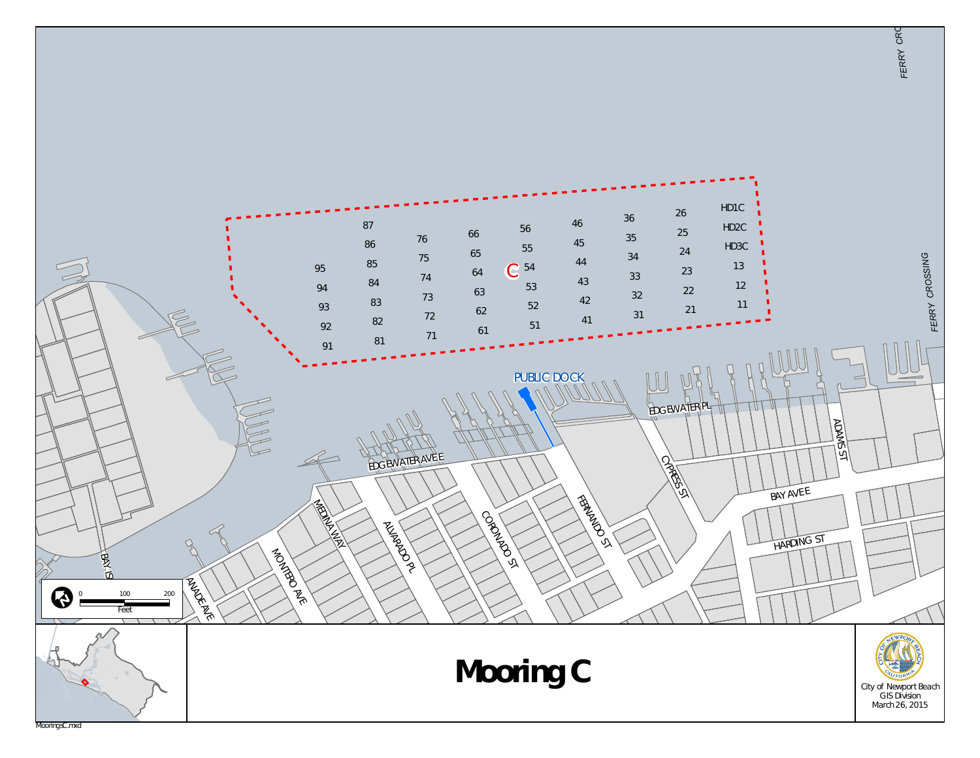

*FERR Y*

*CROSS*